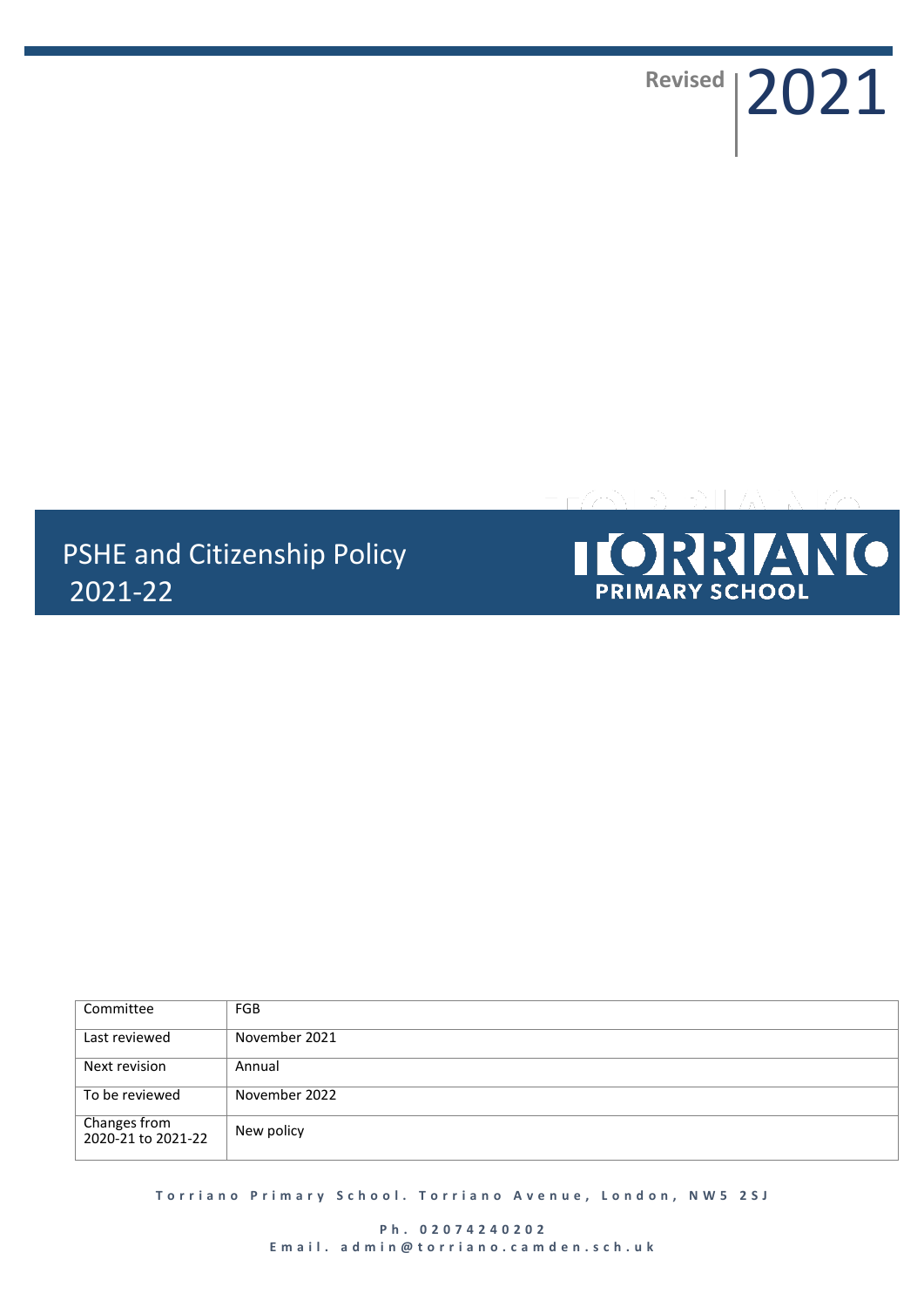Revised | 2021

# PSHE and Citizenship Policy 2021-22



| Committee                          | <b>FGB</b>    |
|------------------------------------|---------------|
| Last reviewed                      | November 2021 |
| Next revision                      | Annual        |
| To be reviewed                     | November 2022 |
| Changes from<br>2020-21 to 2021-22 | New policy    |

**T o r r i a n o P r i m a r y S c h o o l . T o r r i a n o A v e n u e , L o n d o n , N W 5 2 S J**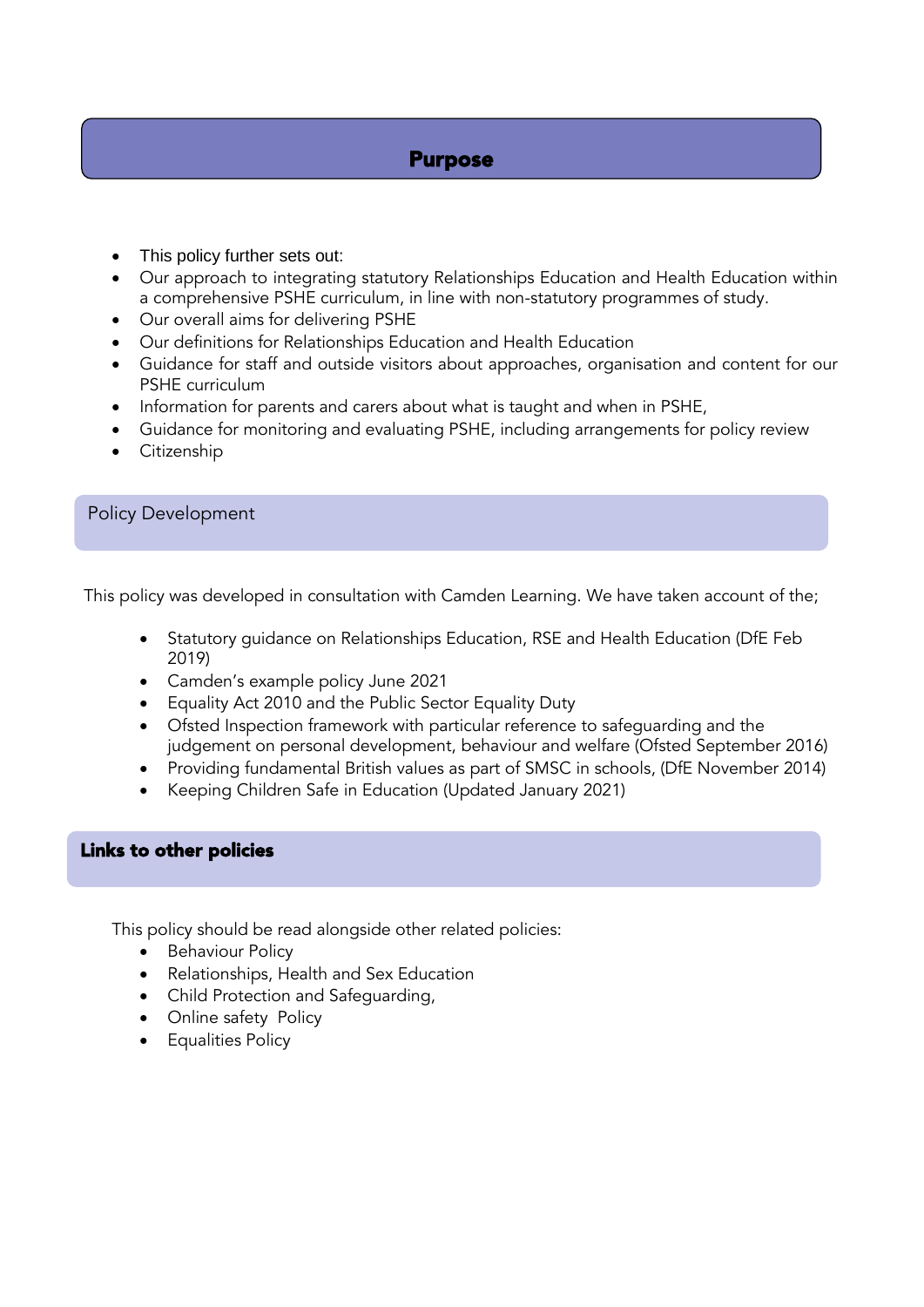# Purpose

- This policy further sets out:
- Our approach to integrating statutory Relationships Education and Health Education within a comprehensive PSHE curriculum, in line with non-statutory programmes of study.
- Our overall aims for delivering PSHE
- Our definitions for Relationships Education and Health Education
- Guidance for staff and outside visitors about approaches, organisation and content for our PSHE curriculum
- Information for parents and carers about what is taught and when in PSHE,
- Guidance for monitoring and evaluating PSHE, including arrangements for policy review
- **•** Citizenship

# Policy Development

This policy was developed in consultation with Camden Learning. We have taken account of the;

- Statutory guidance on Relationships Education, RSE and Health Education (DfE Feb 2019)
- Camden's example policy June 2021
- Equality Act 2010 and the Public Sector Equality Duty
- Ofsted Inspection framework with particular reference to safeguarding and the judgement on personal development, behaviour and welfare (Ofsted September 2016)
- Providing fundamental British values as part of SMSC in schools, (DfE November 2014)
- Keeping Children Safe in Education (Updated January 2021)

# Links to other policies

This policy should be read alongside other related policies:

- Behaviour Policy
- Relationships, Health and Sex Education
- Child Protection and Safeguarding,
- Online safety Policy
- Equalities Policy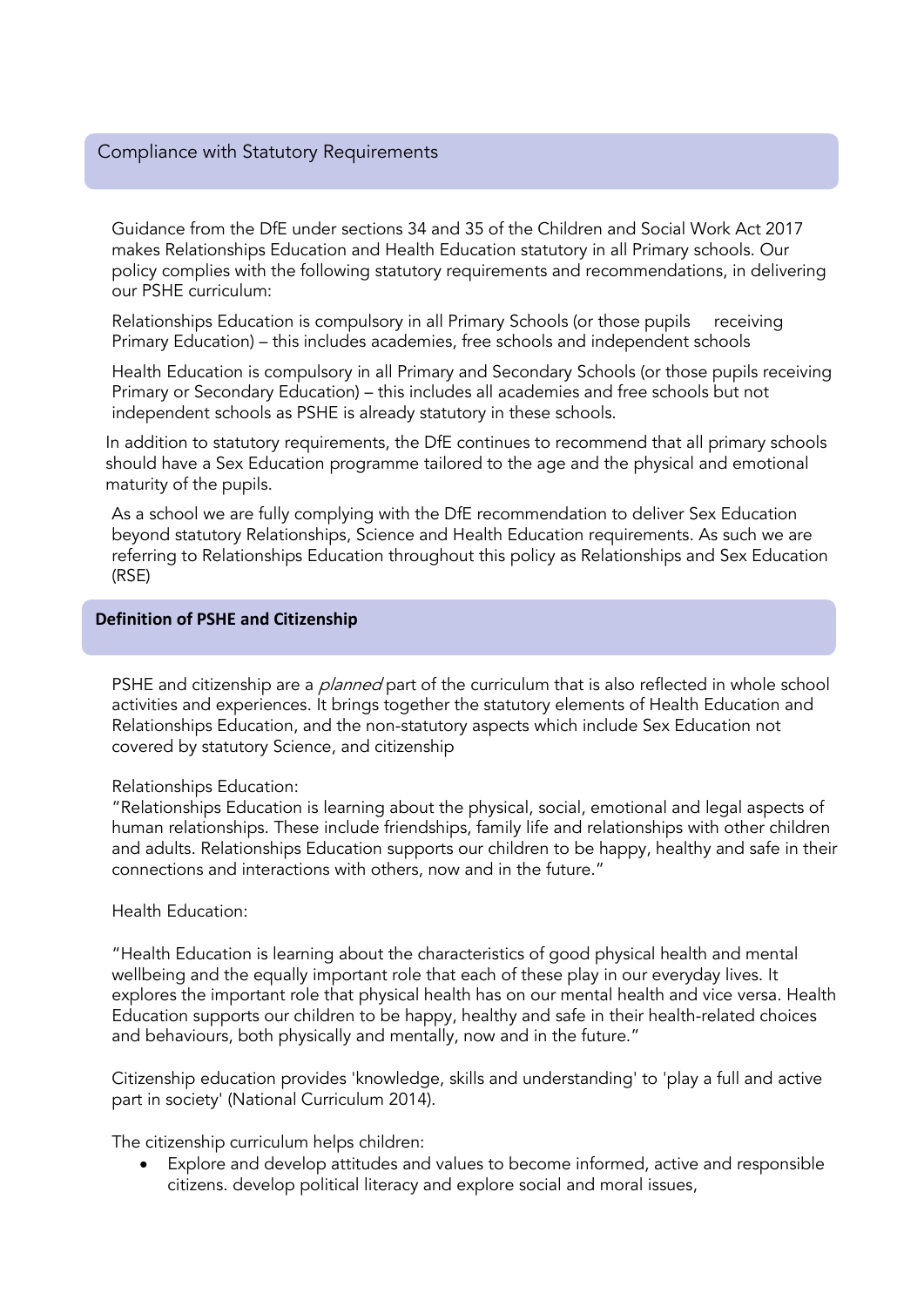### Compliance with Statutory Requirements

Guidance from the DfE under sections 34 and 35 of the Children and Social Work Act 2017 makes Relationships Education and Health Education statutory in all Primary schools. Our policy complies with the following statutory requirements and recommendations, in delivering our PSHE curriculum:

Relationships Education is compulsory in all Primary Schools (or those pupils receiving Primary Education) – this includes academies, free schools and independent schools

Health Education is compulsory in all Primary and Secondary Schools (or those pupils receiving Primary or Secondary Education) – this includes all academies and free schools but not independent schools as PSHE is already statutory in these schools.

In addition to statutory requirements, the DfE continues to recommend that all primary schools should have a Sex Education programme tailored to the age and the physical and emotional maturity of the pupils.

As a school we are fully complying with the DfE recommendation to deliver Sex Education beyond statutory Relationships, Science and Health Education requirements. As such we are referring to Relationships Education throughout this policy as Relationships and Sex Education (RSE)

#### **Definition of PSHE and Citizenship**

PSHE and citizenship are a *planned* part of the curriculum that is also reflected in whole school activities and experiences. It brings together the statutory elements of Health Education and Relationships Education, and the non-statutory aspects which include Sex Education not covered by statutory Science, and citizenship

#### Relationships Education:

"Relationships Education is learning about the physical, social, emotional and legal aspects of human relationships. These include friendships, family life and relationships with other children and adults. Relationships Education supports our children to be happy, healthy and safe in their connections and interactions with others, now and in the future."

#### Health Education:

"Health Education is learning about the characteristics of good physical health and mental wellbeing and the equally important role that each of these play in our everyday lives. It explores the important role that physical health has on our mental health and vice versa. Health Education supports our children to be happy, healthy and safe in their health-related choices and behaviours, both physically and mentally, now and in the future."

Citizenship education provides 'knowledge, skills and understanding' to 'play a full and active part in society' [\(National Curriculum 2014\)](https://www.gov.uk/government/publications/national-curriculum-in-england-citizenship-programmes-of-study/national-curriculum-in-england-citizenship-programmes-of-study-for-key-stages-3-and-4).

The citizenship curriculum helps children:

 Explore and develop attitudes and values to become informed, active and responsible citizens. develop political literacy and explore social and moral issues,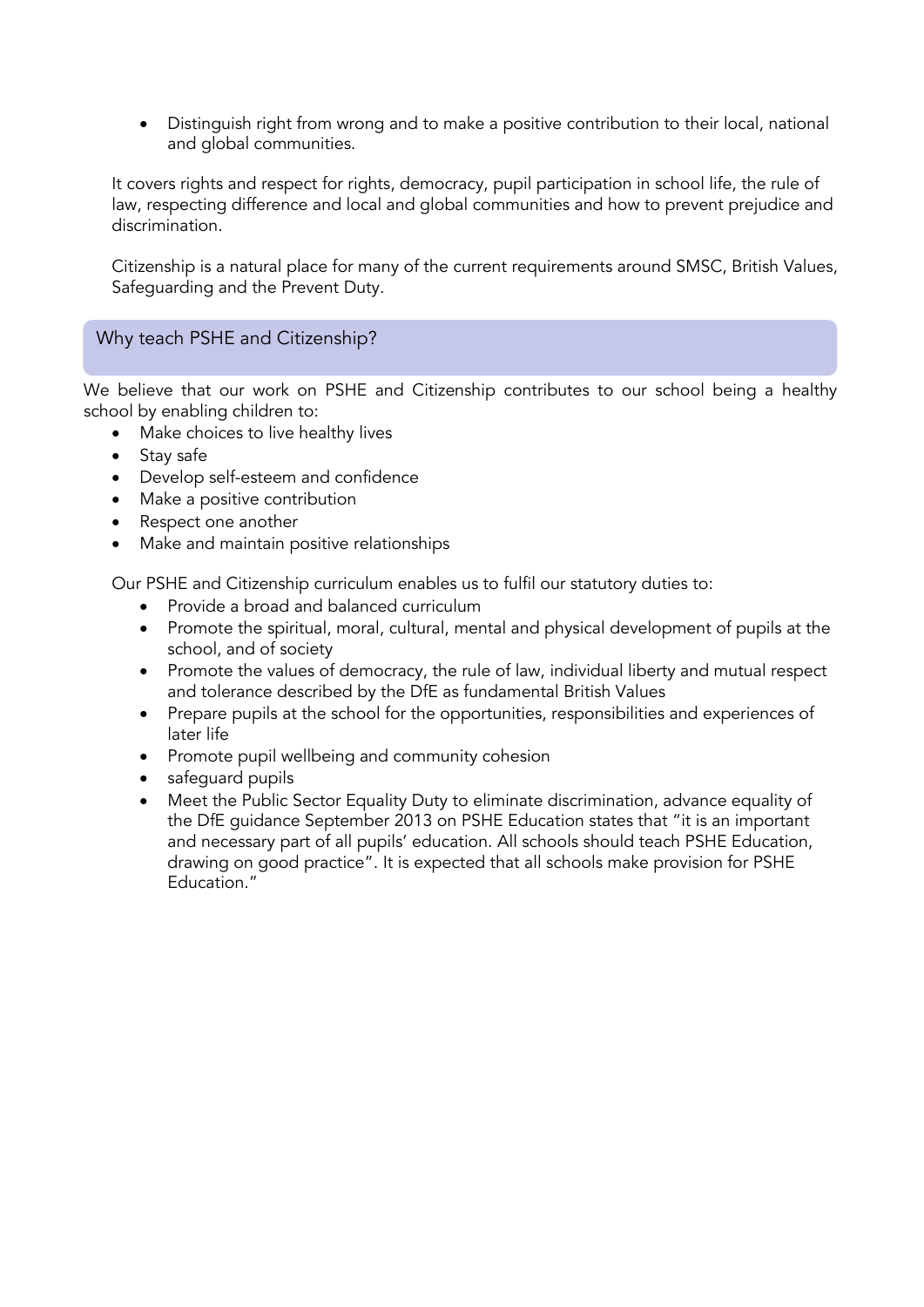Distinguish right from wrong and to make a positive contribution to their local, national and global communities.

It covers rights and respect for rights, democracy, pupil participation in school life, the rule of law, respecting difference and local and global communities and how to prevent prejudice and discrimination.

Citizenship is a natural place for many of the current requirements around SMSC, British Values, Safeguarding and the Prevent Duty.

# Why teach PSHE and Citizenship?

We believe that our work on PSHE and Citizenship contributes to our school being a healthy school by enabling children to:

- Make choices to live healthy lives
- Stay safe
- Develop self-esteem and confidence
- Make a positive contribution
- Respect one another
- Make and maintain positive relationships

Our PSHE and Citizenship curriculum enables us to fulfil our statutory duties to:

- Provide a broad and balanced curriculum
- Promote the spiritual, moral, cultural, mental and physical development of pupils at the school, and of society
- Promote the values of democracy, the rule of law, individual liberty and mutual respect and tolerance described by the DfE as fundamental British Values
- Prepare pupils at the school for the opportunities, responsibilities and experiences of later life
- Promote pupil wellbeing and community cohesion
- safeguard pupils
- Meet the Public Sector Equality Duty to eliminate discrimination, advance equality of the DfE guidance September 2013 on PSHE Education states that "it is an important and necessary part of all pupils' education. All schools should teach PSHE Education, drawing on good practice". It is expected that all schools make provision for PSHE Education."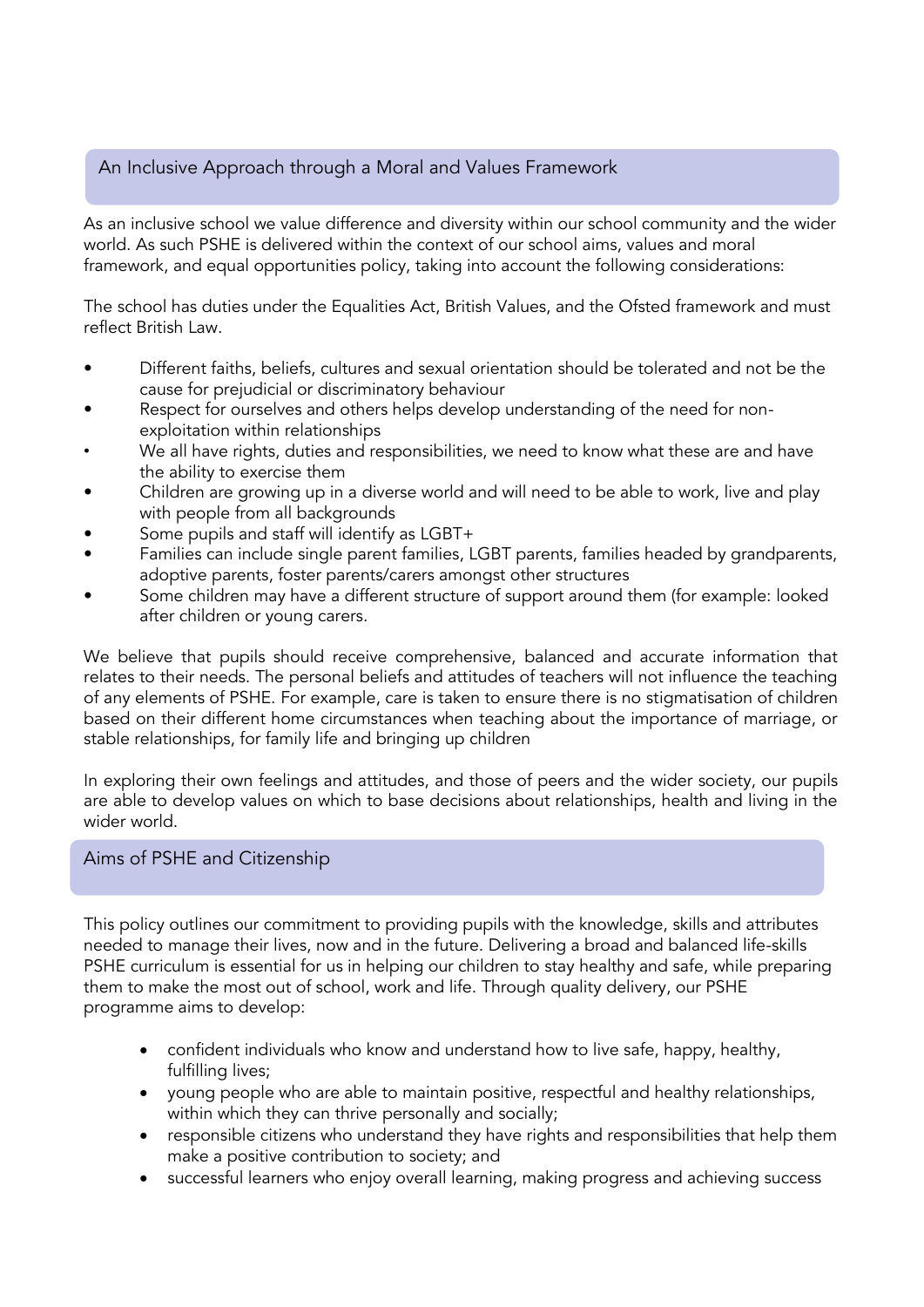# An Inclusive Approach through a Moral and Values Framework

As an inclusive school we value difference and diversity within our school community and the wider world. As such PSHE is delivered within the context of our school aims, values and moral framework, and equal opportunities policy, taking into account the following considerations:

The school has duties under the Equalities Act, British Values, and the Ofsted framework and must reflect British Law.

- Different faiths, beliefs, cultures and sexual orientation should be tolerated and not be the cause for prejudicial or discriminatory behaviour
- Respect for ourselves and others helps develop understanding of the need for nonexploitation within relationships
- We all have rights, duties and responsibilities, we need to know what these are and have the ability to exercise them
- Children are growing up in a diverse world and will need to be able to work, live and play with people from all backgrounds
- Some pupils and staff will identify as LGBT+
- Families can include single parent families, LGBT parents, families headed by grandparents, adoptive parents, foster parents/carers amongst other structures
- Some children may have a different structure of support around them (for example: looked after children or young carers.

We believe that pupils should receive comprehensive, balanced and accurate information that relates to their needs. The personal beliefs and attitudes of teachers will not influence the teaching of any elements of PSHE. For example, care is taken to ensure there is no stigmatisation of children based on their different home circumstances when teaching about the importance of marriage, or stable relationships, for family life and bringing up children

In exploring their own feelings and attitudes, and those of peers and the wider society, our pupils are able to develop values on which to base decisions about relationships, health and living in the wider world.

# Aims of PSHE and Citizenship

This policy outlines our commitment to providing pupils with the knowledge, skills and attributes needed to manage their lives, now and in the future. Delivering a broad and balanced life-skills PSHE curriculum is essential for us in helping our children to stay healthy and safe, while preparing them to make the most out of school, work and life. Through quality delivery, our PSHE programme aims to develop:

- confident individuals who know and understand how to live safe, happy, healthy, fulfilling lives;
- young people who are able to maintain positive, respectful and healthy relationships, within which they can thrive personally and socially;
- responsible citizens who understand they have rights and responsibilities that help them make a positive contribution to society; and
- successful learners who enjoy overall learning, making progress and achieving success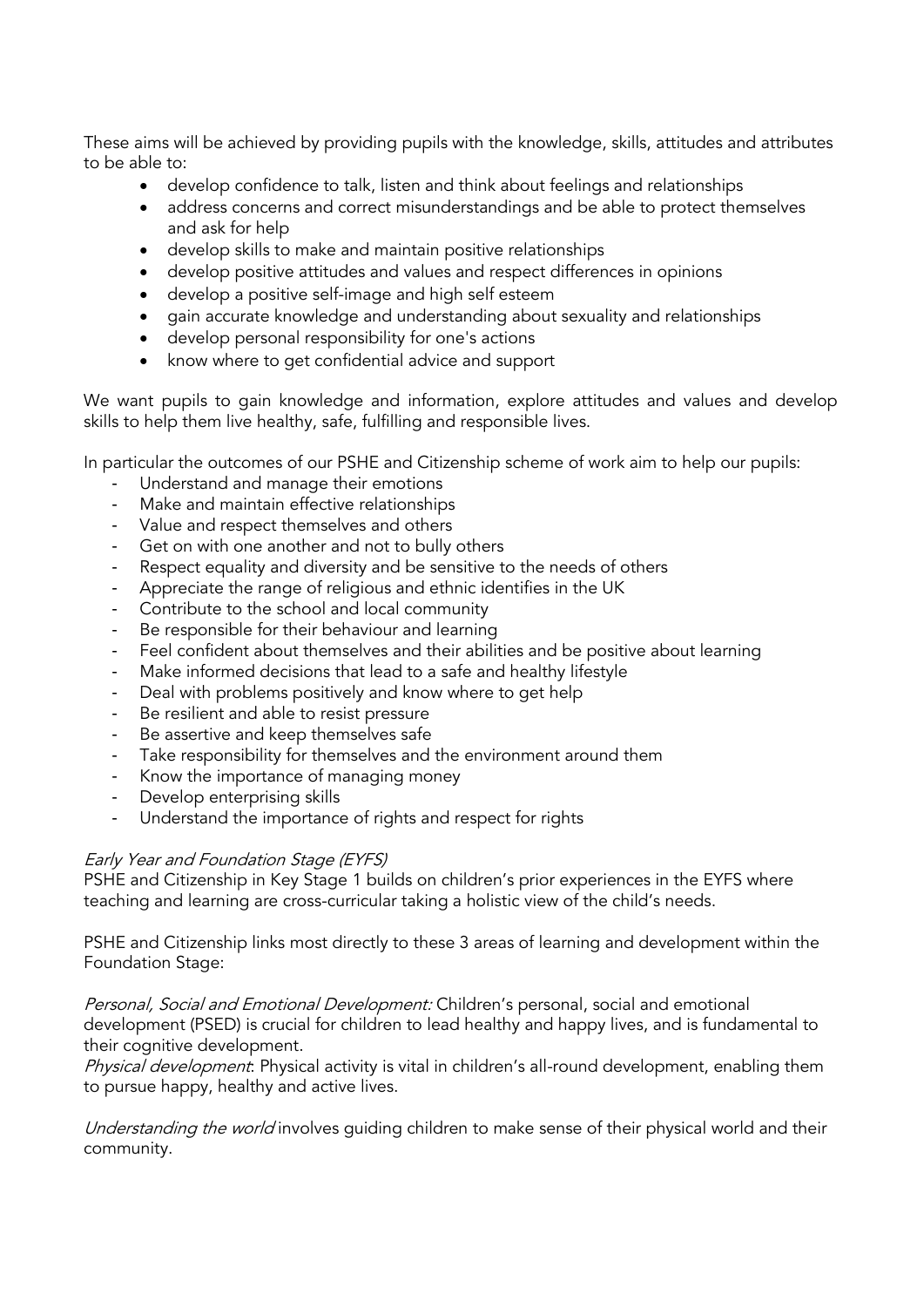These aims will be achieved by providing pupils with the knowledge, skills, attitudes and attributes to be able to:

- develop confidence to talk, listen and think about feelings and relationships
- address concerns and correct misunderstandings and be able to protect themselves and ask for help
- develop skills to make and maintain positive relationships
- develop positive attitudes and values and respect differences in opinions
- develop a positive self-image and high self esteem
- gain accurate knowledge and understanding about sexuality and relationships
- develop personal responsibility for one's actions
- know where to get confidential advice and support

We want pupils to gain knowledge and information, explore attitudes and values and develop skills to help them live healthy, safe, fulfilling and responsible lives.

In particular the outcomes of our PSHE and Citizenship scheme of work aim to help our pupils:

- Understand and manage their emotions
- Make and maintain effective relationships
- Value and respect themselves and others
- Get on with one another and not to bully others
- Respect equality and diversity and be sensitive to the needs of others
- Appreciate the range of religious and ethnic identifies in the UK
- Contribute to the school and local community
- Be responsible for their behaviour and learning
- Feel confident about themselves and their abilities and be positive about learning
- Make informed decisions that lead to a safe and healthy lifestyle
- Deal with problems positively and know where to get help
- Be resilient and able to resist pressure
- Be assertive and keep themselves safe
- Take responsibility for themselves and the environment around them
- Know the importance of managing money
- Develop enterprising skills
- Understand the importance of rights and respect for rights

# Early Year and Foundation Stage (EYFS)

PSHE and Citizenship in Key Stage 1 builds on children's prior experiences in the EYFS where teaching and learning are cross-curricular taking a holistic view of the child's needs.

PSHE and Citizenship links most directly to these 3 areas of learning and development within the Foundation Stage:

Personal, Social and Emotional Development: Children's personal, social and emotional development (PSED) is crucial for children to lead healthy and happy lives, and is fundamental to their cognitive development.

Physical development: Physical activity is vital in children's all-round development, enabling them to pursue happy, healthy and active lives.

Understanding the world involves guiding children to make sense of their physical world and their community.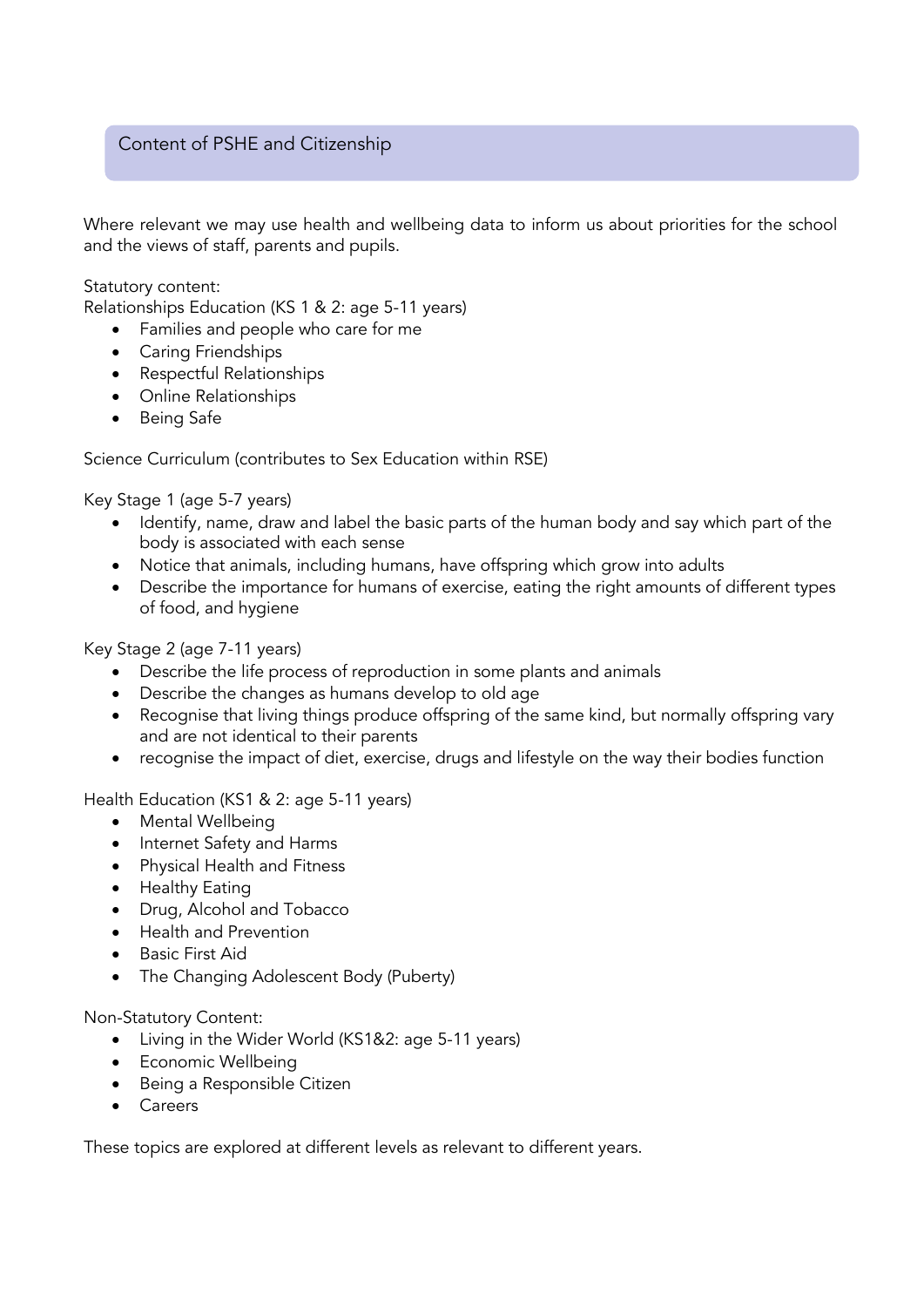# Content of PSHE and Citizenship

Where relevant we may use health and wellbeing data to inform us about priorities for the school and the views of staff, parents and pupils.

Statutory content:

Relationships Education (KS 1 & 2: age 5-11 years)

- Families and people who care for me
- Caring Friendships
- Respectful Relationships
- Online Relationships
- Being Safe

Science Curriculum (contributes to Sex Education within RSE)

Key Stage 1 (age 5-7 years)

- Identify, name, draw and label the basic parts of the human body and say which part of the body is associated with each sense
- Notice that animals, including humans, have offspring which grow into adults
- Describe the importance for humans of exercise, eating the right amounts of different types of food, and hygiene

Key Stage 2 (age 7-11 years)

- Describe the life process of reproduction in some plants and animals
- Describe the changes as humans develop to old age
- Recognise that living things produce offspring of the same kind, but normally offspring vary and are not identical to their parents
- recognise the impact of diet, exercise, drugs and lifestyle on the way their bodies function

Health Education (KS1 & 2: age 5-11 years)

- Mental Wellbeing
- Internet Safety and Harms
- Physical Health and Fitness
- Healthy Eating
- Drug, Alcohol and Tobacco
- Health and Prevention
- Basic First Aid
- The Changing Adolescent Body (Puberty)

Non-Statutory Content:

- Living in the Wider World (KS1&2: age 5-11 years)
- Economic Wellbeing
- Being a Responsible Citizen
- Careers

These topics are explored at different levels as relevant to different years.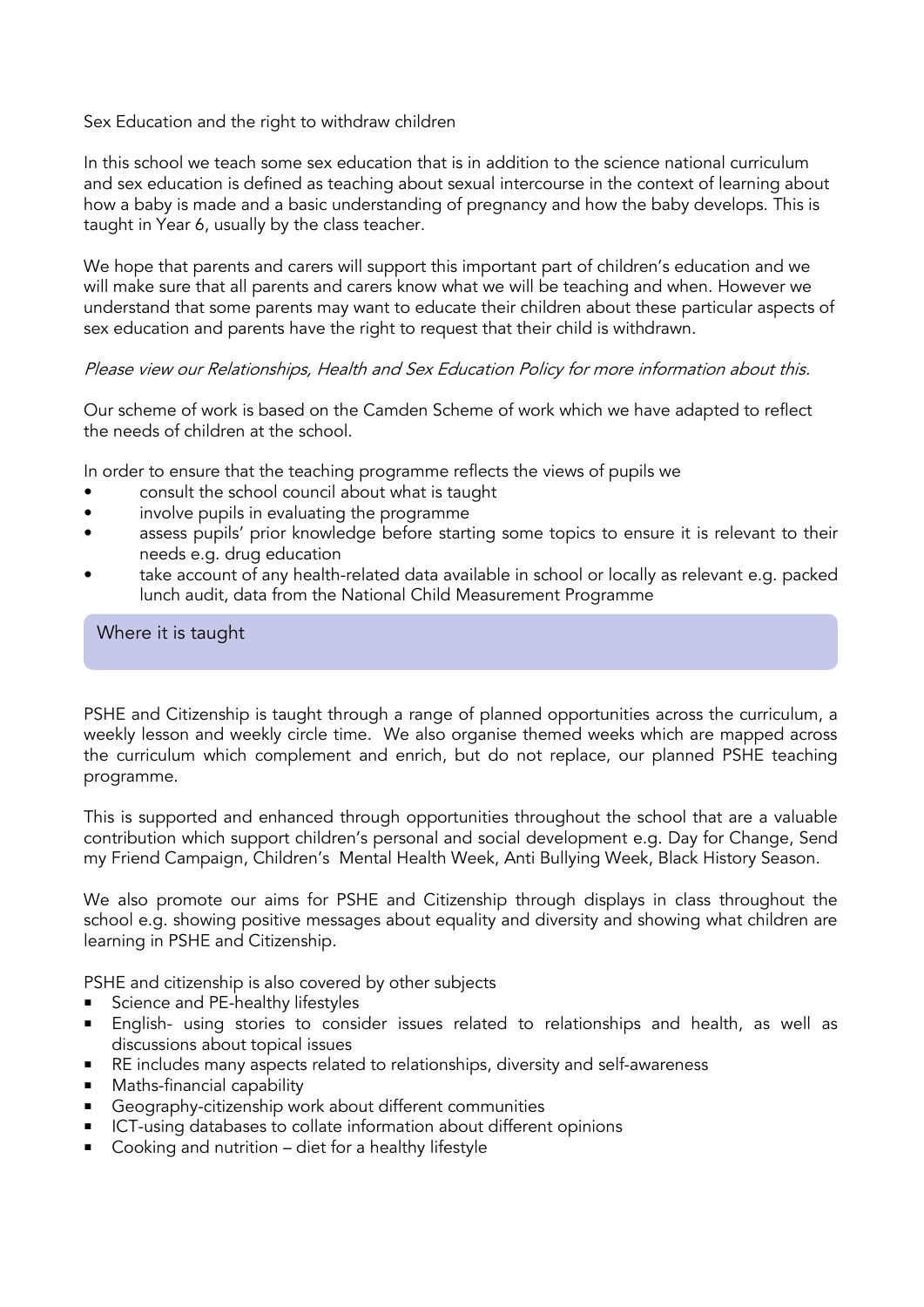# Sex Education and the right to withdraw children

In this school we teach some sex education that is in addition to the science national curriculum and sex education is defined as teaching about sexual intercourse in the context of learning about how a baby is made and a basic understanding of pregnancy and how the baby develops. This is taught in Year 6, usually by the class teacher.

We hope that parents and carers will support this important part of children's education and we will make sure that all parents and carers know what we will be teaching and when. However we understand that some parents may want to educate their children about these particular aspects of sex education and parents have the right to request that their child is withdrawn.

# Please view our Relationships, Health and Sex Education Policy for more information about this.

Our scheme of work is based on the Camden Scheme of work which we have adapted to reflect the needs of children at the school.

In order to ensure that the teaching programme reflects the views of pupils we

- consult the school council about what is taught
- involve pupils in evaluating the programme
- assess pupils' prior knowledge before starting some topics to ensure it is relevant to their needs e.g. drug education
- take account of any health-related data available in school or locally as relevant e.g. packed lunch audit, data from the National Child Measurement Programme

# Where it is taught

PSHE and Citizenship is taught through a range of planned opportunities across the curriculum, a weekly lesson and weekly circle time. We also organise themed weeks which are mapped across the curriculum which complement and enrich, but do not replace, our planned PSHE teaching programme.

This is supported and enhanced through opportunities throughout the school that are a valuable contribution which support children's personal and social development e.g. Day for Change, Send my Friend Campaign, Children's Mental Health Week, Anti Bullying Week, Black History Season.

We also promote our aims for PSHE and Citizenship through displays in class throughout the school e.g. showing positive messages about equality and diversity and showing what children are learning in PSHE and Citizenship.

PSHE and citizenship is also covered by other subjects

- Science and PE-healthy lifestyles
- English- using stories to consider issues related to relationships and health, as well as discussions about topical issues
- RE includes many aspects related to relationships, diversity and self-awareness
- Maths-financial capability
- Geography-citizenship work about different communities
- ICT-using databases to collate information about different opinions
- Cooking and nutrition diet for a healthy lifestyle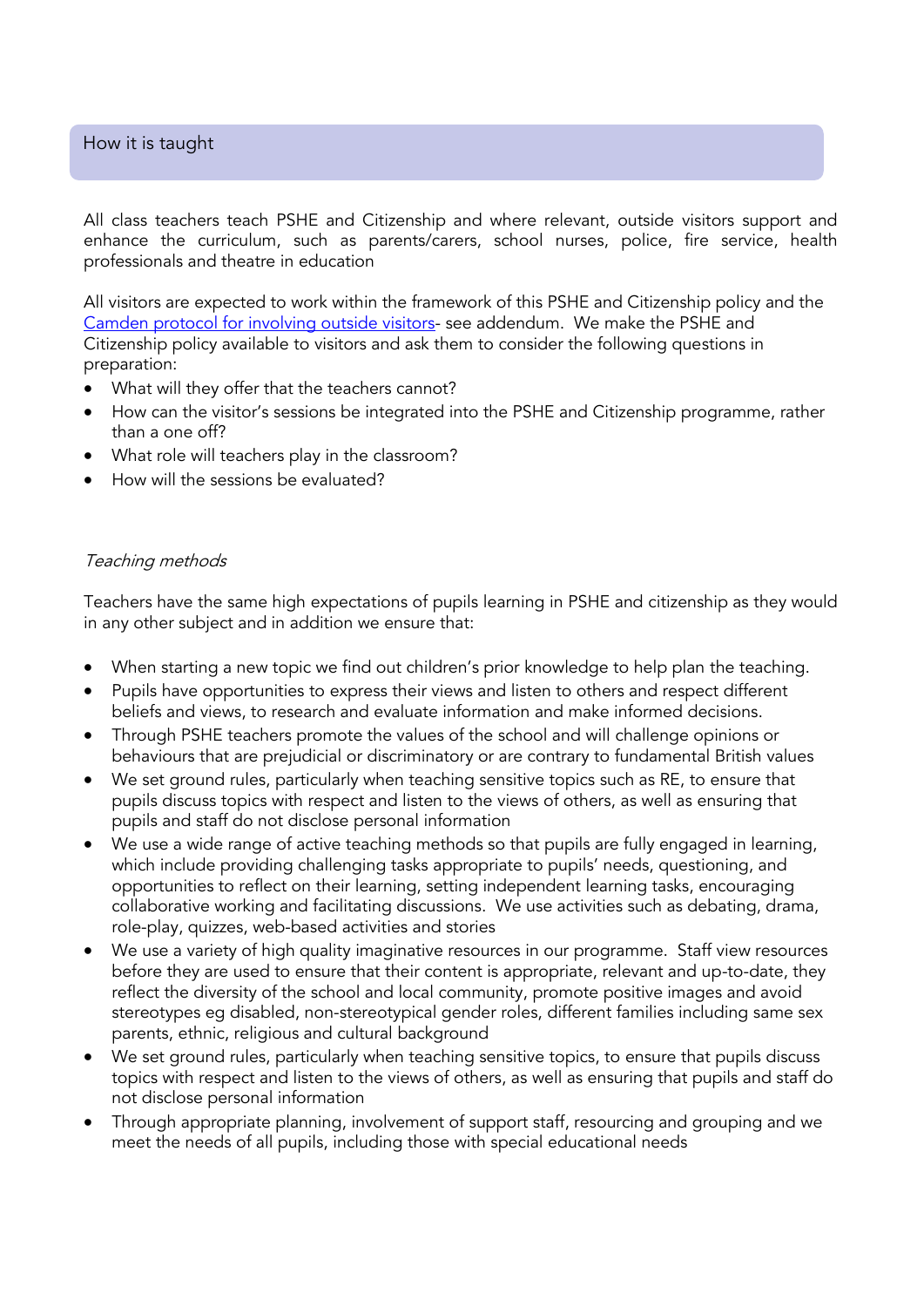# How it is taught

All class teachers teach PSHE and Citizenship and where relevant, outside visitors support and enhance the curriculum, such as parents/carers, school nurses, police, fire service, health professionals and theatre in education

All visitors are expected to work within the framework of this PSHE and Citizenship policy and the [Camden protocol for involving outside visitors-](#page-12-0) see addendum. We make the PSHE and Citizenship policy available to visitors and ask them to consider the following questions in preparation:

- What will they offer that the teachers cannot?
- How can the visitor's sessions be integrated into the PSHE and Citizenship programme, rather than a one off?
- What role will teachers play in the classroom?
- How will the sessions be evaluated?

# Teaching methods

Teachers have the same high expectations of pupils learning in PSHE and citizenship as they would in any other subject and in addition we ensure that:

- When starting a new topic we find out children's prior knowledge to help plan the teaching.
- Pupils have opportunities to express their views and listen to others and respect different beliefs and views, to research and evaluate information and make informed decisions.
- Through PSHE teachers promote the values of the school and will challenge opinions or behaviours that are prejudicial or discriminatory or are contrary to fundamental British values
- We set ground rules, particularly when teaching sensitive topics such as RE, to ensure that pupils discuss topics with respect and listen to the views of others, as well as ensuring that pupils and staff do not disclose personal information
- We use a wide range of active teaching methods so that pupils are fully engaged in learning, which include providing challenging tasks appropriate to pupils' needs, questioning, and opportunities to reflect on their learning, setting independent learning tasks, encouraging collaborative working and facilitating discussions. We use activities such as debating, drama, role-play, quizzes, web-based activities and stories
- We use a variety of high quality imaginative resources in our programme. Staff view resources before they are used to ensure that their content is appropriate, relevant and up-to-date, they reflect the diversity of the school and local community, promote positive images and avoid stereotypes eg disabled, non-stereotypical gender roles, different families including same sex parents, ethnic, religious and cultural background
- We set ground rules, particularly when teaching sensitive topics, to ensure that pupils discuss topics with respect and listen to the views of others, as well as ensuring that pupils and staff do not disclose personal information
- Through appropriate planning, involvement of support staff, resourcing and grouping and we meet the needs of all pupils, including those with special educational needs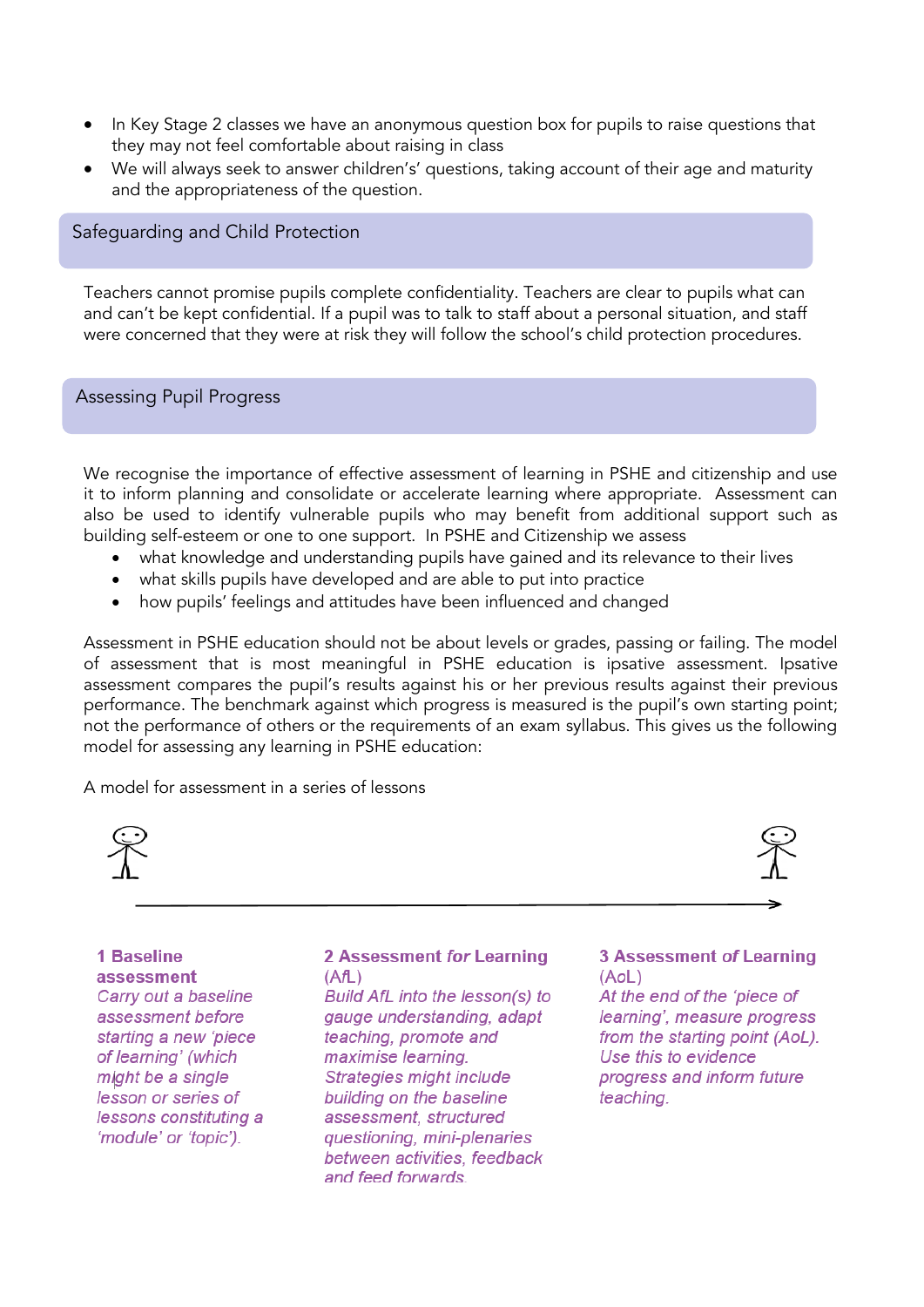- In Key Stage 2 classes we have an anonymous question box for pupils to raise questions that they may not feel comfortable about raising in class
- We will always seek to answer children's' questions, taking account of their age and maturity and the appropriateness of the question.

### Safeguarding and Child Protection

Teachers cannot promise pupils complete confidentiality. Teachers are clear to pupils what can and can't be kept confidential. If a pupil was to talk to staff about a personal situation, and staff were concerned that they were at risk they will follow the school's child protection procedures.

#### Assessing Pupil Progress

We recognise the importance of effective assessment of learning in PSHE and citizenship and use it to inform planning and consolidate or accelerate learning where appropriate. Assessment can also be used to identify vulnerable pupils who may benefit from additional support such as building self-esteem or one to one support. In PSHE and Citizenship we assess

- what knowledge and understanding pupils have gained and its relevance to their lives
- what skills pupils have developed and are able to put into practice
- how pupils' feelings and attitudes have been influenced and changed

Assessment in PSHE education should not be about levels or grades, passing or failing. The model of assessment that is most meaningful in PSHE education is ipsative assessment. Ipsative assessment compares the pupil's results against his or her previous results against their previous performance. The benchmark against which progress is measured is the pupil's own starting point; not the performance of others or the requirements of an exam syllabus. This gives us the following model for assessing any learning in PSHE education:

A model for assessment in a series of lessons



# **1 Baseline** assessment Carry out a baseline

assessment before starting a new 'piece of learning' (which might be a single lesson or series of lessons constituting a 'module' or 'topic').

#### 2 Assessment for Learning  $(AfL)$

Build AfL into the lesson(s) to gauge understanding, adapt teaching, promote and maximise learning. Strategies might include building on the baseline assessment, structured questioning, mini-plenaries between activities, feedback and feed forwards.

#### **3 Assessment of Learning** (AoL)

At the end of the 'piece of learning', measure progress from the starting point (AoL). Use this to evidence progress and inform future teaching.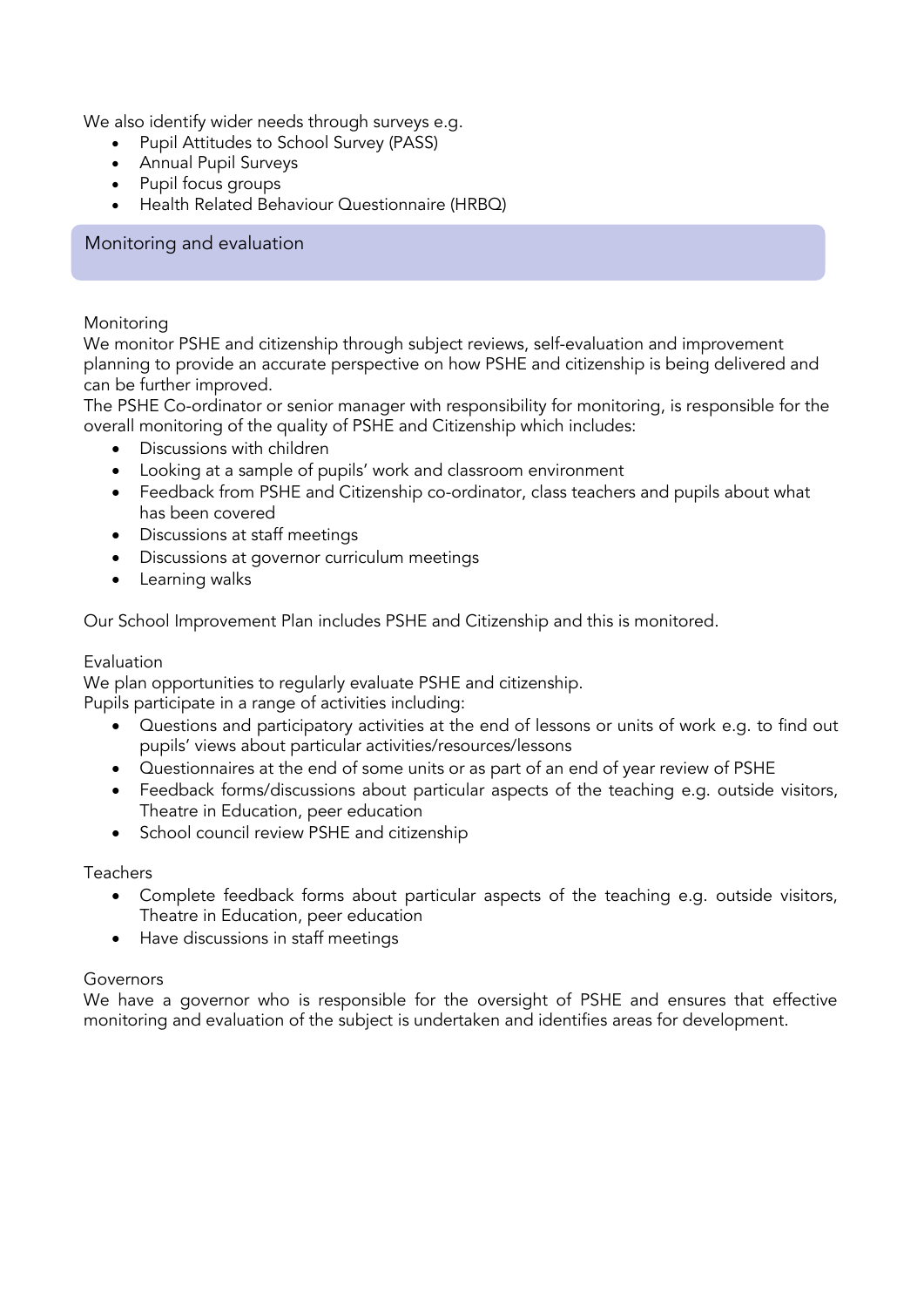We also identify wider needs through surveys e.g.

- Pupil Attitudes to School Survey (PASS)
- Annual Pupil Surveys
- Pupil focus groups
- Health Related Behaviour Questionnaire (HRBQ)

# Monitoring and evaluation

#### Monitoring

We monitor PSHE and citizenship through subject reviews, self-evaluation and improvement planning to provide an accurate perspective on how PSHE and citizenship is being delivered and can be further improved.

The PSHE Co-ordinator or senior manager with responsibility for monitoring, is responsible for the overall monitoring of the quality of PSHE and Citizenship which includes:

- Discussions with children
- Looking at a sample of pupils' work and classroom environment
- Feedback from PSHE and Citizenship co-ordinator, class teachers and pupils about what has been covered
- Discussions at staff meetings
- Discussions at governor curriculum meetings
- Learning walks

Our School Improvement Plan includes PSHE and Citizenship and this is monitored.

### Evaluation

We plan opportunities to regularly evaluate PSHE and citizenship.

Pupils participate in a range of activities including:

- Questions and participatory activities at the end of lessons or units of work e.g. to find out pupils' views about particular activities/resources/lessons
- Questionnaires at the end of some units or as part of an end of year review of PSHE
- Feedback forms/discussions about particular aspects of the teaching e.g. outside visitors, Theatre in Education, peer education
- School council review PSHE and citizenship

### Teachers

- Complete feedback forms about particular aspects of the teaching e.g. outside visitors, Theatre in Education, peer education
- Have discussions in staff meetings

### Governors

We have a governor who is responsible for the oversight of PSHE and ensures that effective monitoring and evaluation of the subject is undertaken and identifies areas for development.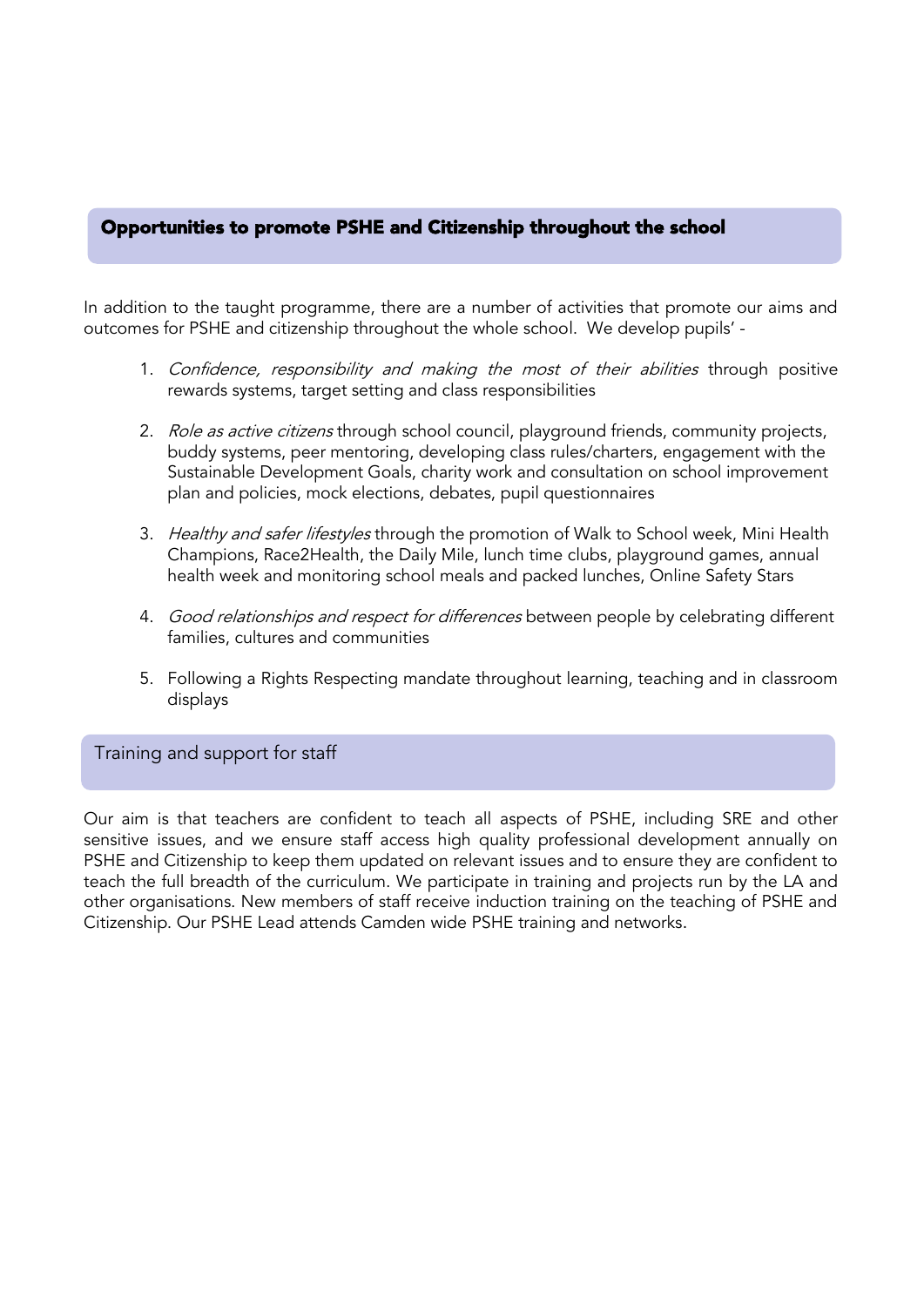# Opportunities to promote PSHE and Citizenship throughout the school

In addition to the taught programme, there are a number of activities that promote our aims and outcomes for PSHE and citizenship throughout the whole school. We develop pupils' -

- 1. Confidence, responsibility and making the most of their abilities through positive rewards systems, target setting and class responsibilities
- 2. Role as active citizens through school council, playground friends, community projects, buddy systems, peer mentoring, developing class rules/charters, engagement with the Sustainable Development Goals, charity work and consultation on school improvement plan and policies, mock elections, debates, pupil questionnaires
- 3. Healthy and safer lifestyles through the promotion of Walk to School week, Mini Health Champions, Race2Health, the Daily Mile, lunch time clubs, playground games, annual health week and monitoring school meals and packed lunches, Online Safety Stars
- 4. Good relationships and respect for differences between people by celebrating different families, cultures and communities
- 5. Following a Rights Respecting mandate throughout learning, teaching and in classroom displays

### Training and support for staff

Our aim is that teachers are confident to teach all aspects of PSHE, including SRE and other sensitive issues, and we ensure staff access high quality professional development annually on PSHE and Citizenship to keep them updated on relevant issues and to ensure they are confident to teach the full breadth of the curriculum. We participate in training and projects run by the LA and other organisations. New members of staff receive induction training on the teaching of PSHE and Citizenship. Our PSHE Lead attends Camden wide PSHE training and networks.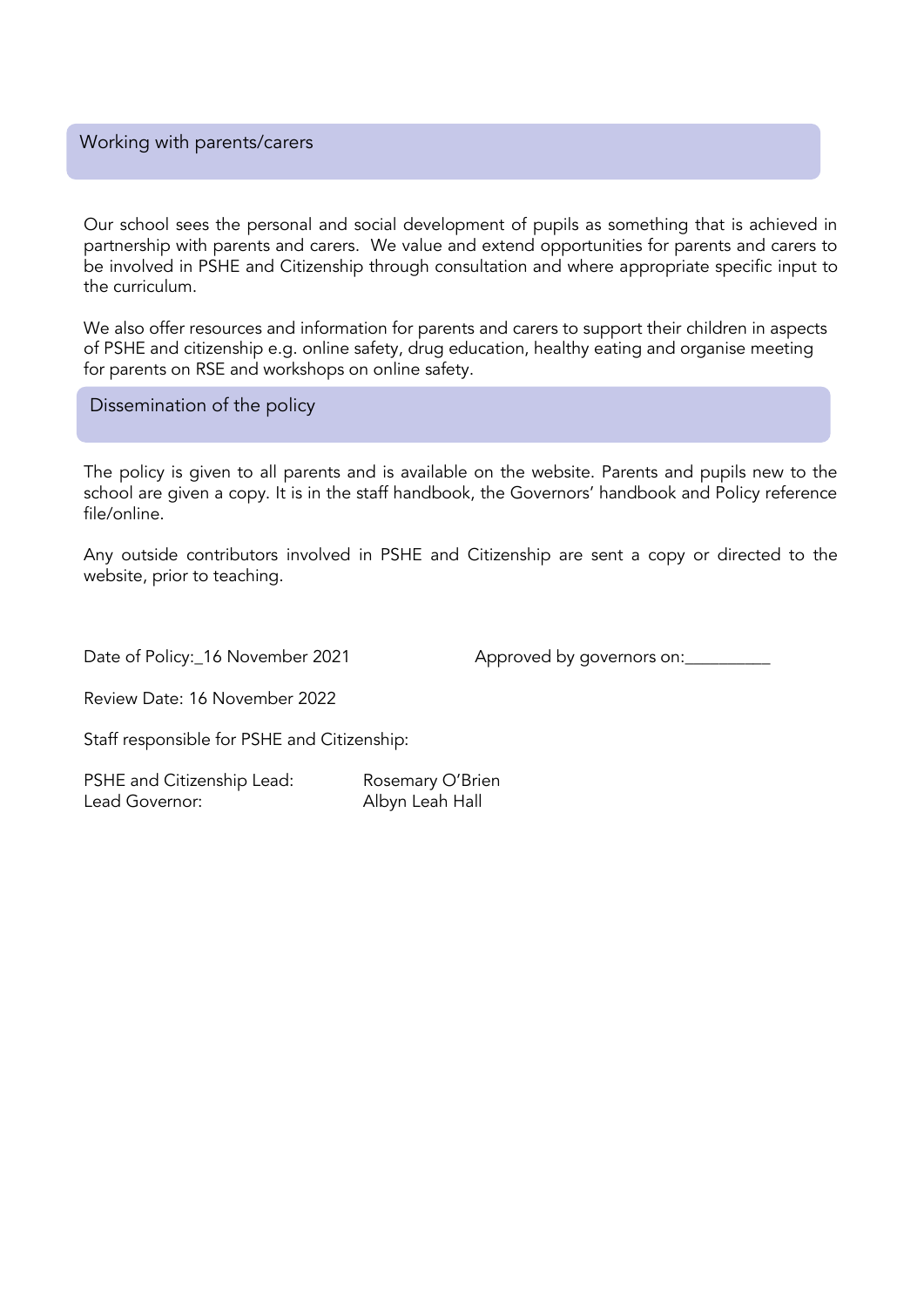#### Working with parents/carers

Our school sees the personal and social development of pupils as something that is achieved in partnership with parents and carers. We value and extend opportunities for parents and carers to be involved in PSHE and Citizenship through consultation and where appropriate specific input to the curriculum.

We also offer resources and information for parents and carers to support their children in aspects of PSHE and citizenship e.g. online safety, drug education, healthy eating and organise meeting for parents on RSE and workshops on online safety.

Dissemination of the policy

The policy is given to all parents and is available on the website. Parents and pupils new to the school are given a copy. It is in the staff handbook, the Governors' handbook and Policy reference file/online.

Any outside contributors involved in PSHE and Citizenship are sent a copy or directed to the website, prior to teaching.

Date of Policy:\_16 November 2021 Approved by governors on:

Review Date: 16 November 2022

Staff responsible for PSHE and Citizenship:

<span id="page-12-0"></span>PSHE and Citizenship Lead: Rosemary O'Brien Lead Governor: Albyn Leah Hall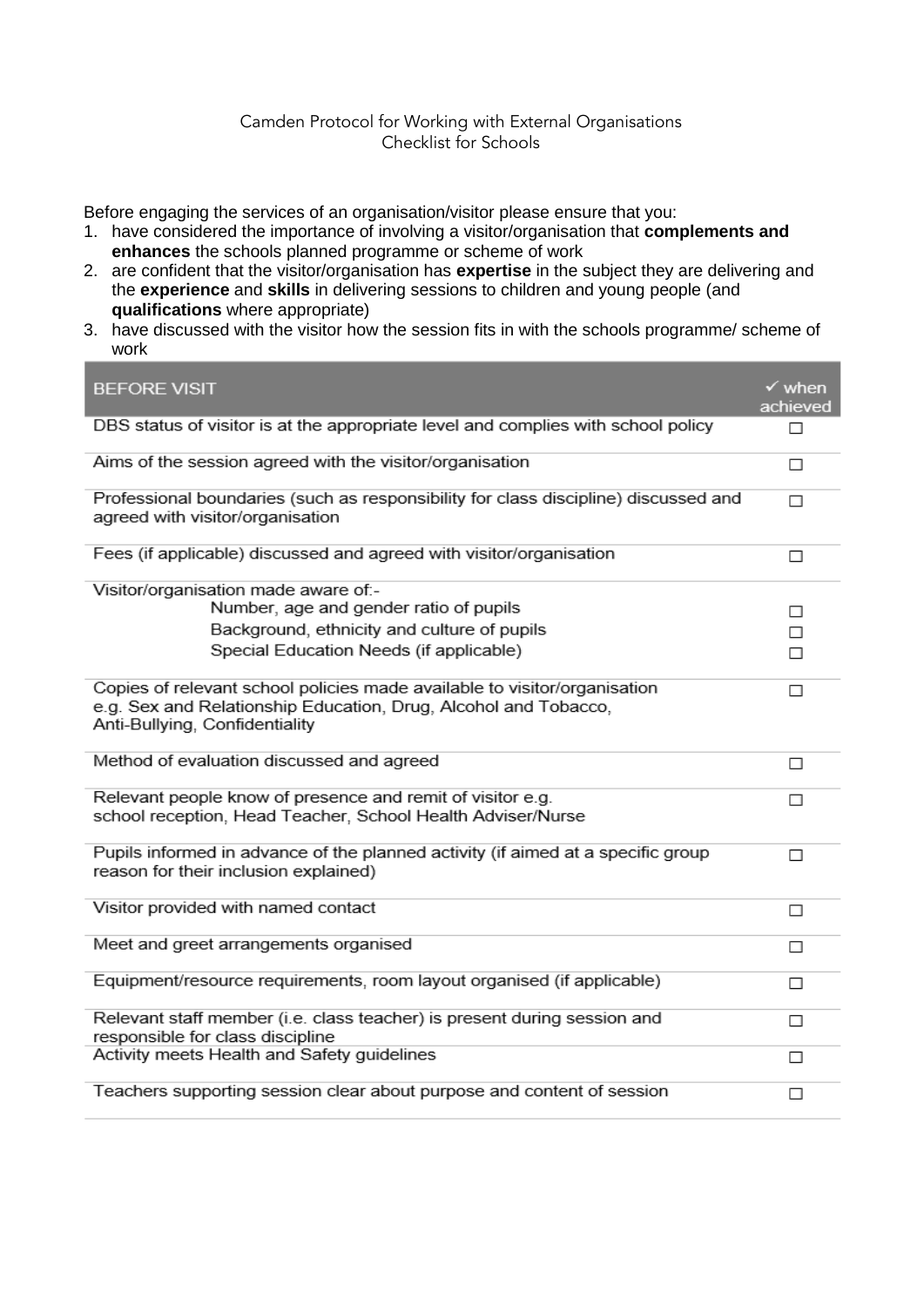#### Camden Protocol for Working with External Organisations Checklist for Schools

Before engaging the services of an organisation/visitor please ensure that you:

- 1. have considered the importance of involving a visitor/organisation that **complements and enhances** the schools planned programme or scheme of work
- 2. are confident that the visitor/organisation has **expertise** in the subject they are delivering and the **experience** and **skills** in delivering sessions to children and young people (and **qualifications** where appropriate)
- 3. have discussed with the visitor how the session fits in with the schools programme/ scheme of work

| <b>BEFORE VISIT</b>                                                                                                                                                            | $\checkmark$ when<br>achieved |
|--------------------------------------------------------------------------------------------------------------------------------------------------------------------------------|-------------------------------|
| DBS status of visitor is at the appropriate level and complies with school policy                                                                                              | П                             |
| Aims of the session agreed with the visitor/organisation                                                                                                                       | п                             |
| Professional boundaries (such as responsibility for class discipline) discussed and<br>agreed with visitor/organisation                                                        | п                             |
| Fees (if applicable) discussed and agreed with visitor/organisation                                                                                                            | П                             |
| Visitor/organisation made aware of .-<br>Number, age and gender ratio of pupils                                                                                                | П                             |
| Background, ethnicity and culture of pupils                                                                                                                                    | п                             |
| Special Education Needs (if applicable)                                                                                                                                        | п                             |
| Copies of relevant school policies made available to visitor/organisation<br>e.g. Sex and Relationship Education, Drug, Alcohol and Tobacco,<br>Anti-Bullying, Confidentiality | □                             |
| Method of evaluation discussed and agreed                                                                                                                                      | п                             |
| Relevant people know of presence and remit of visitor e.g.<br>school reception, Head Teacher, School Health Adviser/Nurse                                                      | П                             |
| Pupils informed in advance of the planned activity (if aimed at a specific group<br>reason for their inclusion explained)                                                      | п                             |
| Visitor provided with named contact                                                                                                                                            | п                             |
| Meet and greet arrangements organised                                                                                                                                          | □                             |
| Equipment/resource requirements, room layout organised (if applicable)                                                                                                         | □                             |
| Relevant staff member (i.e. class teacher) is present during session and<br>responsible for class discipline                                                                   | п                             |
| Activity meets Health and Safety guidelines                                                                                                                                    | □                             |
| Teachers supporting session clear about purpose and content of session                                                                                                         | п                             |